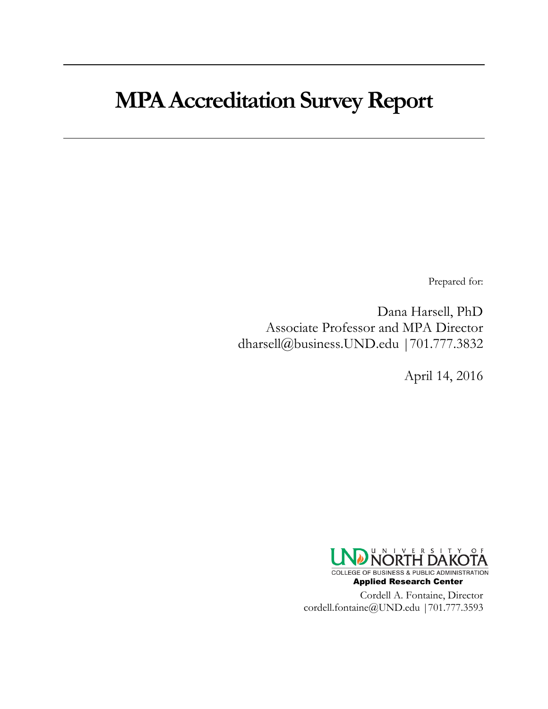## **MPA Accreditation Survey Report**

Prepared for:

Dana Harsell, PhD Associate Professor and MPA Director dharsell@business.UND.edu |701.777.3832

April 14, 2016

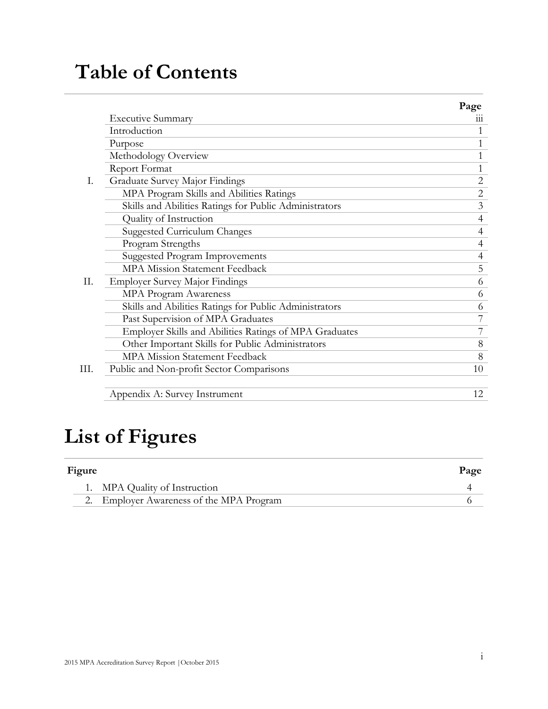## **Table of Contents**

|    |                                                        | Page           |
|----|--------------------------------------------------------|----------------|
|    | <b>Executive Summary</b>                               | 111            |
|    | Introduction                                           | 1              |
|    | Purpose                                                | 1              |
|    | Methodology Overview                                   | 1              |
|    | Report Format                                          |                |
| I. | Graduate Survey Major Findings                         | $\mathbf{2}$   |
|    | MPA Program Skills and Abilities Ratings               | $\overline{2}$ |
|    | Skills and Abilities Ratings for Public Administrators | 3              |
|    | Quality of Instruction                                 | 4              |
|    | Suggested Curriculum Changes                           | $\overline{4}$ |
|    | Program Strengths                                      | $\overline{4}$ |
|    | <b>Suggested Program Improvements</b>                  | $\overline{4}$ |
|    | <b>MPA Mission Statement Feedback</b>                  | 5              |
| Π. | <b>Employer Survey Major Findings</b>                  | 6              |
|    | MPA Program Awareness                                  | 6              |
|    | Skills and Abilities Ratings for Public Administrators | 6              |
|    | Past Supervision of MPA Graduates                      | 7              |
|    | Employer Skills and Abilities Ratings of MPA Graduates | 7              |
|    | Other Important Skills for Public Administrators       | 8              |
|    | MPA Mission Statement Feedback                         | 8              |
| Ш. | Public and Non-profit Sector Comparisons               | 10             |
|    | Appendix A: Survey Instrument                          | 12             |

## **List of Figures**

| Figure |                                          | Page |
|--------|------------------------------------------|------|
|        | 1. MPA Quality of Instruction            |      |
|        | 2. Employer Awareness of the MPA Program |      |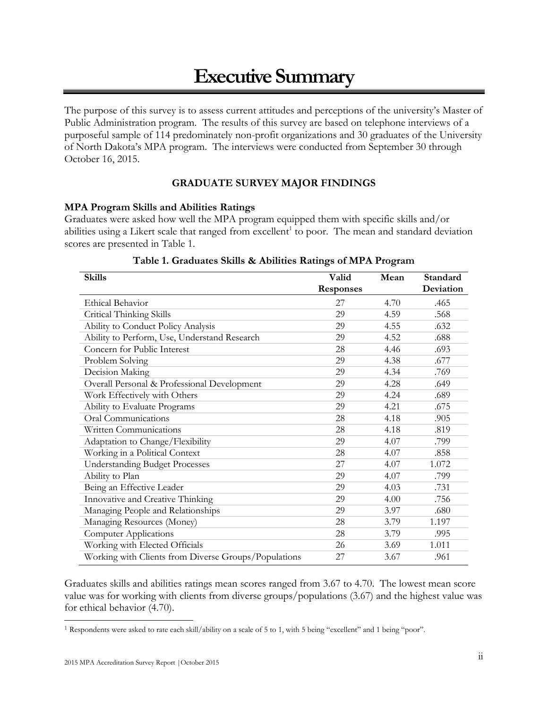## **Executive Summary**

The purpose of this survey is to assess current attitudes and perceptions of the university's Master of Public Administration program. The results of this survey are based on telephone interviews of a purposeful sample of 114 predominately non-profit organizations and 30 graduates of the University of North Dakota's MPA program. The interviews were conducted from September 30 through October 16, 2015.

## **GRADUATE SURVEY MAJOR FINDINGS**

## **MPA Program Skills and Abilities Ratings**

Graduates were asked how well the MPA program equipped them with specific skills and/or abilities using a Likert scale that ranged from excellent<sup>1</sup> to poor. The mean and standard deviation scores are presented in Table 1.

| <b>Skills</b>                                        | Valid            | Mean | Standard  |
|------------------------------------------------------|------------------|------|-----------|
|                                                      | <b>Responses</b> |      | Deviation |
| <b>Ethical Behavior</b>                              | 27               | 4.70 | .465      |
| Critical Thinking Skills                             | 29               | 4.59 | .568      |
| Ability to Conduct Policy Analysis                   | 29               | 4.55 | .632      |
| Ability to Perform, Use, Understand Research         | 29               | 4.52 | .688      |
| Concern for Public Interest                          | 28               | 4.46 | .693      |
| Problem Solving                                      | 29               | 4.38 | .677      |
| Decision Making                                      | 29               | 4.34 | .769      |
| Overall Personal & Professional Development          | 29               | 4.28 | .649      |
| Work Effectively with Others                         | 29               | 4.24 | .689      |
| Ability to Evaluate Programs                         | 29               | 4.21 | .675      |
| Oral Communications                                  | 28               | 4.18 | .905      |
| Written Communications                               | 28               | 4.18 | .819      |
| Adaptation to Change/Flexibility                     | 29               | 4.07 | .799      |
| Working in a Political Context                       | 28               | 4.07 | .858      |
| <b>Understanding Budget Processes</b>                | 27               | 4.07 | 1.072     |
| Ability to Plan                                      | 29               | 4.07 | .799      |
| Being an Effective Leader                            | 29               | 4.03 | .731      |
| Innovative and Creative Thinking                     | 29               | 4.00 | .756      |
| Managing People and Relationships                    | 29               | 3.97 | .680      |
| Managing Resources (Money)                           | 28               | 3.79 | 1.197     |
| <b>Computer Applications</b>                         | 28               | 3.79 | .995      |
| Working with Elected Officials                       | 26               | 3.69 | 1.011     |
| Working with Clients from Diverse Groups/Populations | 27               | 3.67 | .961      |

## **Table 1. Graduates Skills & Abilities Ratings of MPA Program**

Graduates skills and abilities ratings mean scores ranged from 3.67 to 4.70. The lowest mean score value was for working with clients from diverse groups/populations (3.67) and the highest value was for ethical behavior (4.70).

<sup>1</sup> Respondents were asked to rate each skill/ability on a scale of 5 to 1, with 5 being "excellent" and 1 being "poor".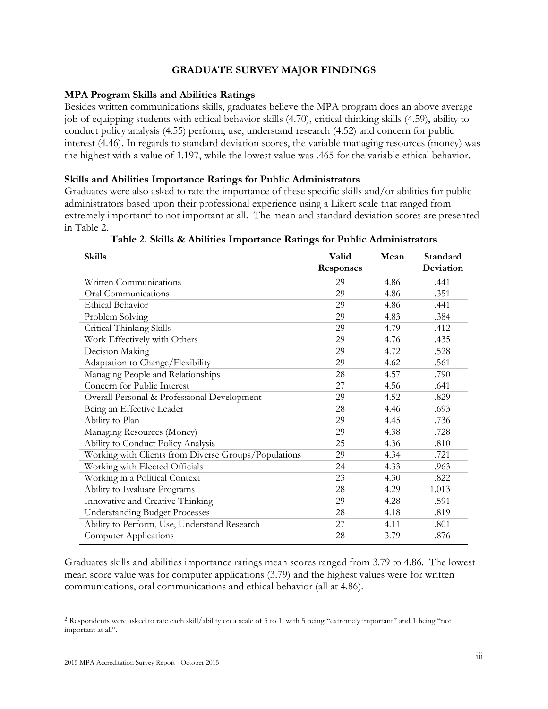## **GRADUATE SURVEY MAJOR FINDINGS**

## **MPA Program Skills and Abilities Ratings**

Besides written communications skills, graduates believe the MPA program does an above average job of equipping students with ethical behavior skills (4.70), critical thinking skills (4.59), ability to conduct policy analysis (4.55) perform, use, understand research (4.52) and concern for public interest (4.46). In regards to standard deviation scores, the variable managing resources (money) was the highest with a value of 1.197, while the lowest value was .465 for the variable ethical behavior.

## **Skills and Abilities Importance Ratings for Public Administrators**

Graduates were also asked to rate the importance of these specific skills and/or abilities for public administrators based upon their professional experience using a Likert scale that ranged from extremely important<sup>2</sup> to not important at all. The mean and standard deviation scores are presented in Table 2.

| <b>Skills</b>                                        | Valid            | Mean | Standard  |
|------------------------------------------------------|------------------|------|-----------|
|                                                      | <b>Responses</b> |      | Deviation |
| Written Communications                               | 29               | 4.86 | .441      |
| Oral Communications                                  | 29               | 4.86 | .351      |
| <b>Ethical Behavior</b>                              | 29               | 4.86 | .441      |
| Problem Solving                                      | 29               | 4.83 | .384      |
| Critical Thinking Skills                             | 29               | 4.79 | .412      |
| Work Effectively with Others                         | 29               | 4.76 | .435      |
| Decision Making                                      | 29               | 4.72 | .528      |
| Adaptation to Change/Flexibility                     | 29               | 4.62 | .561      |
| Managing People and Relationships                    | 28               | 4.57 | .790      |
| Concern for Public Interest                          | 27               | 4.56 | .641      |
| Overall Personal & Professional Development          | 29               | 4.52 | .829      |
| Being an Effective Leader                            | 28               | 4.46 | .693      |
| Ability to Plan                                      | 29               | 4.45 | .736      |
| Managing Resources (Money)                           | 29               | 4.38 | .728      |
| Ability to Conduct Policy Analysis                   | 25               | 4.36 | .810      |
| Working with Clients from Diverse Groups/Populations | 29               | 4.34 | .721      |
| Working with Elected Officials                       | 24               | 4.33 | .963      |
| Working in a Political Context                       | 23               | 4.30 | .822      |
| Ability to Evaluate Programs                         | 28               | 4.29 | 1.013     |
| Innovative and Creative Thinking                     | 29               | 4.28 | .591      |
| <b>Understanding Budget Processes</b>                | 28               | 4.18 | .819      |
| Ability to Perform, Use, Understand Research         | 27               | 4.11 | .801      |
| <b>Computer Applications</b>                         | 28               | 3.79 | .876      |

**Table 2. Skills & Abilities Importance Ratings for Public Administrators**

Graduates skills and abilities importance ratings mean scores ranged from 3.79 to 4.86. The lowest mean score value was for computer applications (3.79) and the highest values were for written communications, oral communications and ethical behavior (all at 4.86).

<sup>2</sup> Respondents were asked to rate each skill/ability on a scale of 5 to 1, with 5 being "extremely important" and 1 being "not important at all".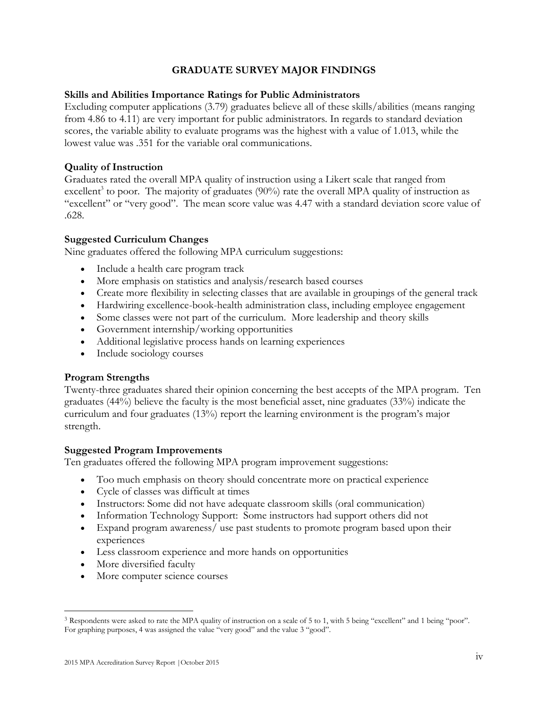## **GRADUATE SURVEY MAJOR FINDINGS**

## **Skills and Abilities Importance Ratings for Public Administrators**

Excluding computer applications (3.79) graduates believe all of these skills/abilities (means ranging from 4.86 to 4.11) are very important for public administrators. In regards to standard deviation scores, the variable ability to evaluate programs was the highest with a value of 1.013, while the lowest value was .351 for the variable oral communications.

## **Quality of Instruction**

Graduates rated the overall MPA quality of instruction using a Likert scale that ranged from excellent<sup>3</sup> to poor. The majority of graduates  $(90\%)$  rate the overall MPA quality of instruction as "excellent" or "very good". The mean score value was 4.47 with a standard deviation score value of .628.

## **Suggested Curriculum Changes**

Nine graduates offered the following MPA curriculum suggestions:

- Include a health care program track
- More emphasis on statistics and analysis/research based courses
- Create more flexibility in selecting classes that are available in groupings of the general track
- Hardwiring excellence-book-health administration class, including employee engagement
- Some classes were not part of the curriculum. More leadership and theory skills
- Government internship/working opportunities
- Additional legislative process hands on learning experiences
- Include sociology courses

## **Program Strengths**

Twenty-three graduates shared their opinion concerning the best accepts of the MPA program. Ten graduates (44%) believe the faculty is the most beneficial asset, nine graduates (33%) indicate the curriculum and four graduates (13%) report the learning environment is the program's major strength.

## **Suggested Program Improvements**

Ten graduates offered the following MPA program improvement suggestions:

- Too much emphasis on theory should concentrate more on practical experience
- Cycle of classes was difficult at times
- Instructors: Some did not have adequate classroom skills (oral communication)
- Information Technology Support: Some instructors had support others did not
- Expand program awareness/ use past students to promote program based upon their experiences
- Less classroom experience and more hands on opportunities
- More diversified faculty

 $\overline{a}$ 

• More computer science courses

<sup>3</sup> Respondents were asked to rate the MPA quality of instruction on a scale of 5 to 1, with 5 being "excellent" and 1 being "poor". For graphing purposes, 4 was assigned the value "very good" and the value 3 "good".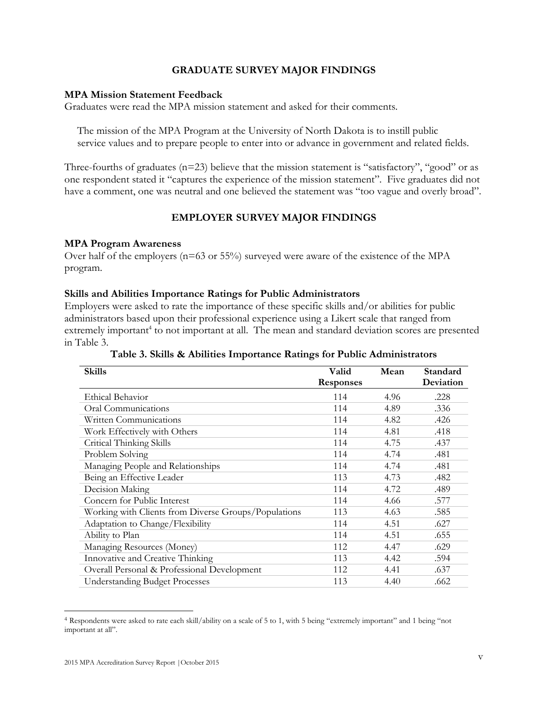## **GRADUATE SURVEY MAJOR FINDINGS**

### **MPA Mission Statement Feedback**

Graduates were read the MPA mission statement and asked for their comments.

The mission of the MPA Program at the University of North Dakota is to instill public service values and to prepare people to enter into or advance in government and related fields.

Three-fourths of graduates ( $n=23$ ) believe that the mission statement is "satisfactory", "good" or as one respondent stated it "captures the experience of the mission statement". Five graduates did not have a comment, one was neutral and one believed the statement was "too vague and overly broad".

## **EMPLOYER SURVEY MAJOR FINDINGS**

### **MPA Program Awareness**

Over half of the employers (n=63 or 55%) surveyed were aware of the existence of the MPA program.

### **Skills and Abilities Importance Ratings for Public Administrators**

Employers were asked to rate the importance of these specific skills and/or abilities for public administrators based upon their professional experience using a Likert scale that ranged from extremely important<sup>4</sup> to not important at all. The mean and standard deviation scores are presented in Table 3.

**Table 3. Skills & Abilities Importance Ratings for Public Administrators**

|                  |       | Standard  |
|------------------|-------|-----------|
| <b>Responses</b> |       | Deviation |
| 114              | 4.96  | .228      |
| 114              | 4.89  | .336      |
| 114              | 4.82  | .426      |
| 114              | 4.81  | .418      |
| 114              | 4.75  | .437      |
| 114              | 4.74  | .481      |
| 114              | 4.74  | .481      |
| 113              | 4.73  | .482      |
| 114              | 4.72  | .489      |
| 114              | 4.66  | .577      |
| 113              | 4.63  | .585      |
| 114              | 4.51  | .627      |
| 114              | 4.51  | .655      |
| 112              | 4.47  | .629      |
| 113              | 4.42  | .594      |
| 112              | 4.41  | .637      |
| 113              | 4.40  | .662      |
|                  | Valid | Mean      |

<sup>4</sup> Respondents were asked to rate each skill/ability on a scale of 5 to 1, with 5 being "extremely important" and 1 being "not important at all".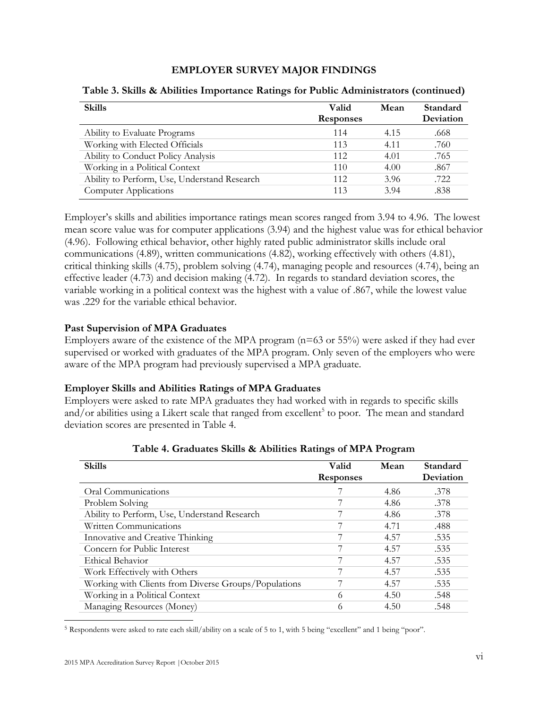## **EMPLOYER SURVEY MAJOR FINDINGS**

| <b>Skills</b>                                | Valid            | Mean | Standard  |
|----------------------------------------------|------------------|------|-----------|
|                                              | <b>Responses</b> |      | Deviation |
| Ability to Evaluate Programs                 | 114              | 4.15 | .668      |
| Working with Elected Officials               | 113              | 4.11 | .760      |
| Ability to Conduct Policy Analysis           | 112              | 4.01 | .765      |
| Working in a Political Context               | 110              | 4.00 | .867      |
| Ability to Perform, Use, Understand Research | 112              | 3.96 | .722      |
| Computer Applications                        | 113              | 3.94 | .838      |

## **Table 3. Skills & Abilities Importance Ratings for Public Administrators (continued)**

Employer's skills and abilities importance ratings mean scores ranged from 3.94 to 4.96. The lowest mean score value was for computer applications (3.94) and the highest value was for ethical behavior (4.96). Following ethical behavior, other highly rated public administrator skills include oral communications (4.89), written communications (4.82), working effectively with others (4.81), critical thinking skills (4.75), problem solving (4.74), managing people and resources (4.74), being an effective leader (4.73) and decision making (4.72). In regards to standard deviation scores, the variable working in a political context was the highest with a value of .867, while the lowest value was .229 for the variable ethical behavior.

## **Past Supervision of MPA Graduates**

Employers aware of the existence of the MPA program  $(n=63 \text{ or } 55\%)$  were asked if they had ever supervised or worked with graduates of the MPA program. Only seven of the employers who were aware of the MPA program had previously supervised a MPA graduate.

## **Employer Skills and Abilities Ratings of MPA Graduates**

Employers were asked to rate MPA graduates they had worked with in regards to specific skills and/or abilities using a Likert scale that ranged from excellent<sup>5</sup> to poor. The mean and standard deviation scores are presented in Table 4.

| <b>Skills</b>                                        | Valid<br><b>Responses</b> | Mean | Standard<br>Deviation |
|------------------------------------------------------|---------------------------|------|-----------------------|
| Oral Communications                                  |                           | 4.86 | .378                  |
| Problem Solving                                      |                           | 4.86 | .378                  |
| Ability to Perform, Use, Understand Research         |                           | 4.86 | .378                  |
| Written Communications                               |                           | 4.71 | .488                  |
| Innovative and Creative Thinking                     |                           | 4.57 | .535                  |
| Concern for Public Interest                          |                           | 4.57 | .535                  |
| Ethical Behavior                                     |                           | 4.57 | .535                  |
| Work Effectively with Others                         |                           | 4.57 | .535                  |
| Working with Clients from Diverse Groups/Populations |                           | 4.57 | .535                  |
| Working in a Political Context                       | 6                         | 4.50 | .548                  |
| Managing Resources (Money)                           | 6                         | 4.50 | .548                  |

**Table 4. Graduates Skills & Abilities Ratings of MPA Program**

<sup>5</sup> Respondents were asked to rate each skill/ability on a scale of 5 to 1, with 5 being "excellent" and 1 being "poor".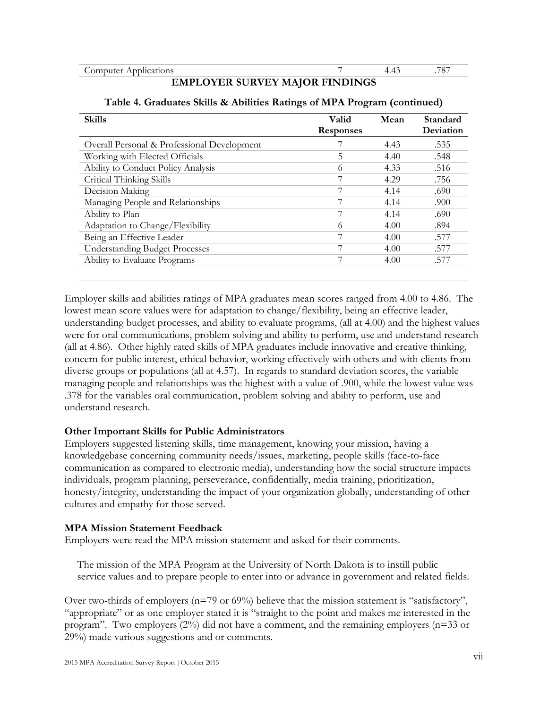### **EMPLOYER SURVEY MAJOR FINDINGS**

| <b>Skills</b>                               | Valid<br><b>Responses</b> | Mean | Standard<br>Deviation |
|---------------------------------------------|---------------------------|------|-----------------------|
| Overall Personal & Professional Development |                           | 4.43 | .535                  |
| Working with Elected Officials              | 5                         | 4.40 | .548                  |
| Ability to Conduct Policy Analysis          | 6                         | 4.33 | .516                  |
| Critical Thinking Skills                    | 7                         | 4.29 | .756                  |
| Decision Making                             | 7                         | 4.14 | .690                  |
| Managing People and Relationships           | 7                         | 4.14 | .900                  |
| Ability to Plan                             | 7                         | 4.14 | .690                  |
| Adaptation to Change/Flexibility            | 6                         | 4.00 | .894                  |
| Being an Effective Leader                   | 7                         | 4.00 | .577                  |
| <b>Understanding Budget Processes</b>       | 7                         | 4.00 | .577                  |
| Ability to Evaluate Programs                | 7                         | 4.00 | .577                  |
|                                             |                           |      |                       |

## **Table 4. Graduates Skills & Abilities Ratings of MPA Program (continued)**

Employer skills and abilities ratings of MPA graduates mean scores ranged from 4.00 to 4.86. The lowest mean score values were for adaptation to change/flexibility, being an effective leader, understanding budget processes, and ability to evaluate programs, (all at 4.00) and the highest values were for oral communications, problem solving and ability to perform, use and understand research (all at 4.86). Other highly rated skills of MPA graduates include innovative and creative thinking, concern for public interest, ethical behavior, working effectively with others and with clients from diverse groups or populations (all at 4.57). In regards to standard deviation scores, the variable managing people and relationships was the highest with a value of .900, while the lowest value was .378 for the variables oral communication, problem solving and ability to perform, use and understand research.

## **Other Important Skills for Public Administrators**

Employers suggested listening skills, time management, knowing your mission, having a knowledgebase concerning community needs/issues, marketing, people skills (face-to-face communication as compared to electronic media), understanding how the social structure impacts individuals, program planning, perseverance, confidentially, media training, prioritization, honesty/integrity, understanding the impact of your organization globally, understanding of other cultures and empathy for those served.

## **MPA Mission Statement Feedback**

Employers were read the MPA mission statement and asked for their comments.

The mission of the MPA Program at the University of North Dakota is to instill public service values and to prepare people to enter into or advance in government and related fields.

Over two-thirds of employers (n=79 or 69%) believe that the mission statement is "satisfactory", "appropriate" or as one employer stated it is "straight to the point and makes me interested in the program". Two employers  $(2%)$  did not have a comment, and the remaining employers (n=33 or 29%) made various suggestions and or comments.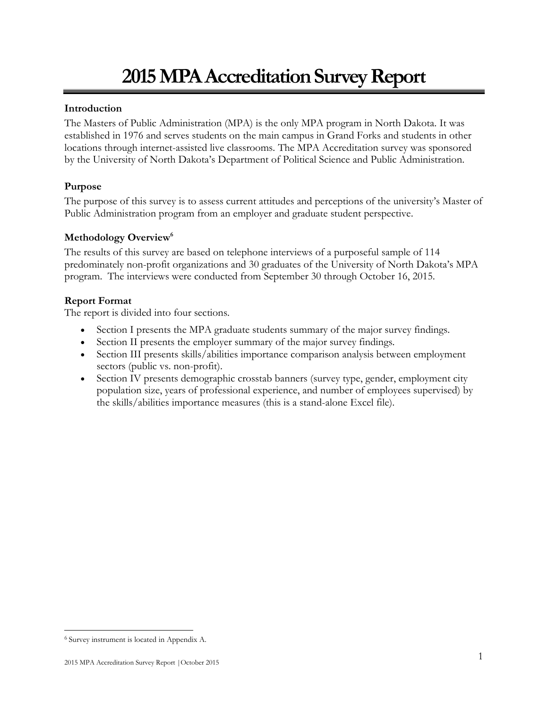## **2015 MPA Accreditation Survey Report**

## **Introduction**

The Masters of Public Administration (MPA) is the only MPA program in North Dakota. It was established in 1976 and serves students on the main campus in Grand Forks and students in other locations through internet-assisted live classrooms. The MPA Accreditation survey was sponsored by the University of North Dakota's Department of Political Science and Public Administration.

## **Purpose**

The purpose of this survey is to assess current attitudes and perceptions of the university's Master of Public Administration program from an employer and graduate student perspective.

## **Methodology Overview 6**

The results of this survey are based on telephone interviews of a purposeful sample of 114 predominately non-profit organizations and 30 graduates of the University of North Dakota's MPA program. The interviews were conducted from September 30 through October 16, 2015.

## **Report Format**

The report is divided into four sections.

- Section I presents the MPA graduate students summary of the major survey findings.
- Section II presents the employer summary of the major survey findings.
- Section III presents skills/abilities importance comparison analysis between employment sectors (public vs. non-profit).
- Section IV presents demographic crosstab banners (survey type, gender, employment city population size, years of professional experience, and number of employees supervised) by the skills/abilities importance measures (this is a stand-alone Excel file).

<sup>6</sup> Survey instrument is located in Appendix A.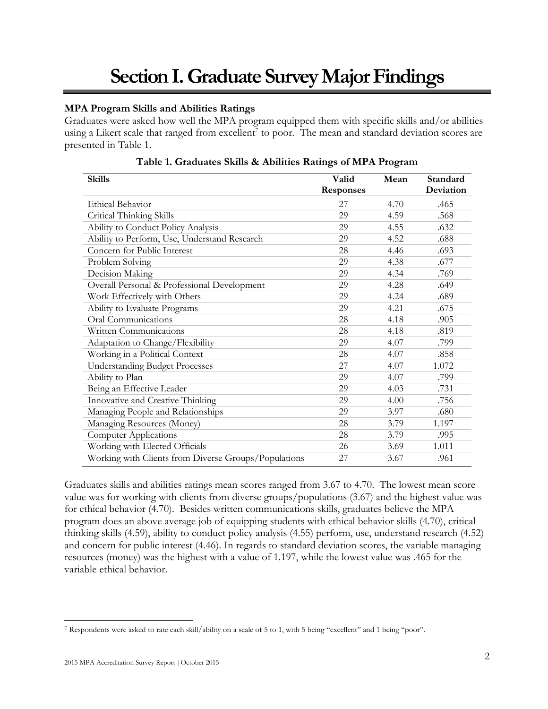## **Section I. Graduate Survey Major Findings**

## **MPA Program Skills and Abilities Ratings**

Graduates were asked how well the MPA program equipped them with specific skills and/or abilities using a Likert scale that ranged from  $excellent<sup>7</sup>$  to poor. The mean and standard deviation scores are presented in Table 1.

| <b>Skills</b>                                        | Valid            | Mean | Standard  |
|------------------------------------------------------|------------------|------|-----------|
|                                                      | <b>Responses</b> |      | Deviation |
| <b>Ethical Behavior</b>                              | 27               | 4.70 | .465      |
| Critical Thinking Skills                             | 29               | 4.59 | .568      |
| Ability to Conduct Policy Analysis                   | 29               | 4.55 | .632      |
| Ability to Perform, Use, Understand Research         | 29               | 4.52 | .688      |
| Concern for Public Interest                          | 28               | 4.46 | .693      |
| Problem Solving                                      | 29               | 4.38 | .677      |
| Decision Making                                      | 29               | 4.34 | .769      |
| Overall Personal & Professional Development          | 29               | 4.28 | .649      |
| Work Effectively with Others                         | 29               | 4.24 | .689      |
| Ability to Evaluate Programs                         | 29               | 4.21 | .675      |
| Oral Communications                                  | 28               | 4.18 | .905      |
| Written Communications                               | 28               | 4.18 | .819      |
| Adaptation to Change/Flexibility                     | 29               | 4.07 | .799      |
| Working in a Political Context                       | 28               | 4.07 | .858      |
| <b>Understanding Budget Processes</b>                | 27               | 4.07 | 1.072     |
| Ability to Plan                                      | 29               | 4.07 | .799      |
| Being an Effective Leader                            | 29               | 4.03 | .731      |
| Innovative and Creative Thinking                     | 29               | 4.00 | .756      |
| Managing People and Relationships                    | 29               | 3.97 | .680      |
| Managing Resources (Money)                           | 28               | 3.79 | 1.197     |
| <b>Computer Applications</b>                         | 28               | 3.79 | .995      |
| Working with Elected Officials                       | 26               | 3.69 | 1.011     |
| Working with Clients from Diverse Groups/Populations | 27               | 3.67 | .961      |

**Table 1. Graduates Skills & Abilities Ratings of MPA Program**

Graduates skills and abilities ratings mean scores ranged from 3.67 to 4.70. The lowest mean score value was for working with clients from diverse groups/populations (3.67) and the highest value was for ethical behavior (4.70). Besides written communications skills, graduates believe the MPA program does an above average job of equipping students with ethical behavior skills (4.70), critical thinking skills (4.59), ability to conduct policy analysis (4.55) perform, use, understand research (4.52) and concern for public interest (4.46). In regards to standard deviation scores, the variable managing resources (money) was the highest with a value of 1.197, while the lowest value was .465 for the variable ethical behavior.

<sup>7</sup> Respondents were asked to rate each skill/ability on a scale of 5 to 1, with 5 being "excellent" and 1 being "poor".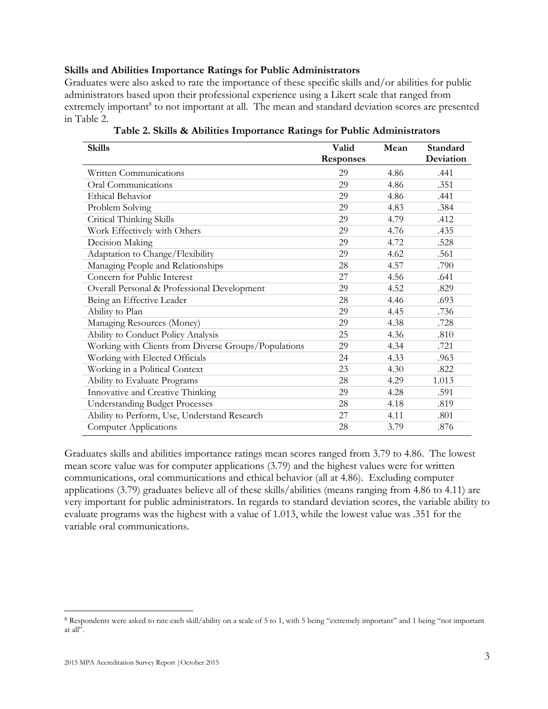#### **Skills and Abilities Importance Ratings for Public Administrators**

Graduates were also asked to rate the importance of these specific skills and/or abilities for public administrators based upon their professional experience using a Likert scale that ranged from extremely important<sup>8</sup> to not important at all. The mean and standard deviation scores are presented in Table 2.

| <b>Skills</b>                                        | Valid            | Mean | Standard  |
|------------------------------------------------------|------------------|------|-----------|
|                                                      | <b>Responses</b> |      | Deviation |
| Written Communications                               | 29               | 4.86 | .441      |
| Oral Communications                                  | 29               | 4.86 | .351      |
| <b>Ethical Behavior</b>                              | 29               | 4.86 | .441      |
| Problem Solving                                      | 29               | 4.83 | .384      |
| Critical Thinking Skills                             | 29               | 4.79 | .412      |
| Work Effectively with Others                         | 29               | 4.76 | .435      |
| Decision Making                                      | 29               | 4.72 | .528      |
| Adaptation to Change/Flexibility                     | 29               | 4.62 | .561      |
| Managing People and Relationships                    | 28               | 4.57 | .790      |
| Concern for Public Interest                          | 27               | 4.56 | .641      |
| Overall Personal & Professional Development          | 29               | 4.52 | .829      |
| Being an Effective Leader                            | 28               | 4.46 | .693      |
| Ability to Plan                                      | 29               | 4.45 | .736      |
| Managing Resources (Money)                           | 29               | 4.38 | .728      |
| Ability to Conduct Policy Analysis                   | 25               | 4.36 | .810      |
| Working with Clients from Diverse Groups/Populations | 29               | 4.34 | .721      |
| Working with Elected Officials                       | 24               | 4.33 | .963      |
| Working in a Political Context                       | 23               | 4.30 | .822      |
| Ability to Evaluate Programs                         | 28               | 4.29 | 1.013     |
| Innovative and Creative Thinking                     | 29               | 4.28 | .591      |
| <b>Understanding Budget Processes</b>                | 28               | 4.18 | .819      |
| Ability to Perform, Use, Understand Research         | 27               | 4.11 | .801      |
| <b>Computer Applications</b>                         | 28               | 3.79 | .876      |

**Table 2. Skills & Abilities Importance Ratings for Public Administrators**

Graduates skills and abilities importance ratings mean scores ranged from 3.79 to 4.86. The lowest mean score value was for computer applications (3.79) and the highest values were for written communications, oral communications and ethical behavior (all at 4.86). Excluding computer applications (3.79) graduates believe all of these skills/abilities (means ranging from 4.86 to 4.11) are very important for public administrators. In regards to standard deviation scores, the variable ability to evaluate programs was the highest with a value of 1.013, while the lowest value was .351 for the variable oral communications.

<sup>8</sup> Respondents were asked to rate each skill/ability on a scale of 5 to 1, with 5 being "extremely important" and 1 being "not important at all".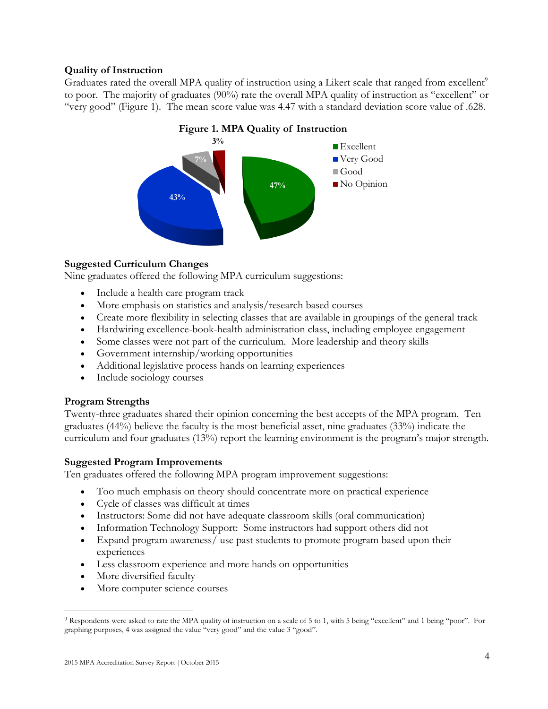## **Quality of Instruction**

Graduates rated the overall MPA quality of instruction using a Likert scale that ranged from excellent<sup>9</sup> to poor. The majority of graduates (90%) rate the overall MPA quality of instruction as "excellent" or "very good" (Figure 1). The mean score value was 4.47 with a standard deviation score value of .628.



## **Figure 1. MPA Quality of Instruction**

## **Suggested Curriculum Changes**

Nine graduates offered the following MPA curriculum suggestions:

- Include a health care program track
- More emphasis on statistics and analysis/research based courses
- Create more flexibility in selecting classes that are available in groupings of the general track
- Hardwiring excellence-book-health administration class, including employee engagement
- Some classes were not part of the curriculum. More leadership and theory skills
- Government internship/working opportunities
- Additional legislative process hands on learning experiences
- Include sociology courses

## **Program Strengths**

Twenty-three graduates shared their opinion concerning the best accepts of the MPA program. Ten graduates (44%) believe the faculty is the most beneficial asset, nine graduates (33%) indicate the curriculum and four graduates (13%) report the learning environment is the program's major strength.

## **Suggested Program Improvements**

Ten graduates offered the following MPA program improvement suggestions:

- Too much emphasis on theory should concentrate more on practical experience
- Cycle of classes was difficult at times
- Instructors: Some did not have adequate classroom skills (oral communication)
- Information Technology Support: Some instructors had support others did not
- Expand program awareness/ use past students to promote program based upon their experiences
- Less classroom experience and more hands on opportunities
- More diversified faculty

 $\overline{a}$ 

• More computer science courses

<sup>9</sup> Respondents were asked to rate the MPA quality of instruction on a scale of 5 to 1, with 5 being "excellent" and 1 being "poor". For graphing purposes, 4 was assigned the value "very good" and the value 3 "good".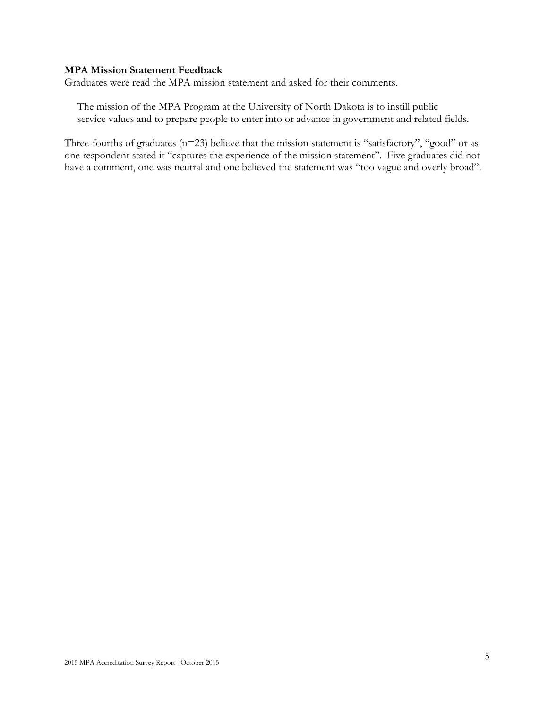## **MPA Mission Statement Feedback**

Graduates were read the MPA mission statement and asked for their comments.

The mission of the MPA Program at the University of North Dakota is to instill public service values and to prepare people to enter into or advance in government and related fields.

Three-fourths of graduates (n=23) believe that the mission statement is "satisfactory", "good" or as one respondent stated it "captures the experience of the mission statement". Five graduates did not have a comment, one was neutral and one believed the statement was "too vague and overly broad".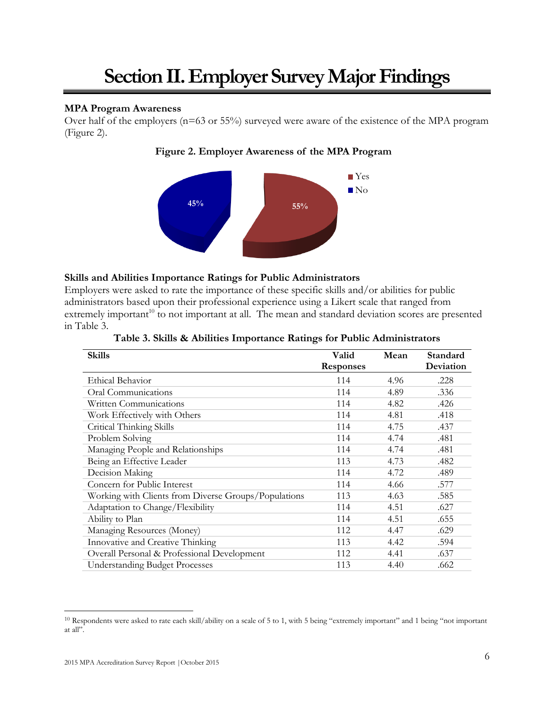## **Section II. Employer Survey Major Findings**

## **MPA Program Awareness**

Over half of the employers (n=63 or 55%) surveyed were aware of the existence of the MPA program (Figure 2).





## **Skills and Abilities Importance Ratings for Public Administrators**

Employers were asked to rate the importance of these specific skills and/or abilities for public administrators based upon their professional experience using a Likert scale that ranged from extremely important<sup>10</sup> to not important at all. The mean and standard deviation scores are presented in Table 3.

| <b>Skills</b>                                        | Valid            | Mean | Standard  |
|------------------------------------------------------|------------------|------|-----------|
|                                                      | <b>Responses</b> |      | Deviation |
| Ethical Behavior                                     | 114              | 4.96 | .228      |
| Oral Communications                                  | 114              | 4.89 | .336      |
| Written Communications                               | 114              | 4.82 | .426      |
| Work Effectively with Others                         | 114              | 4.81 | .418      |
| Critical Thinking Skills                             | 114              | 4.75 | .437      |
| Problem Solving                                      | 114              | 4.74 | .481      |
| Managing People and Relationships                    | 114              | 4.74 | .481      |
| Being an Effective Leader                            | 113              | 4.73 | .482      |
| Decision Making                                      | 114              | 4.72 | .489      |
| Concern for Public Interest                          | 114              | 4.66 | .577      |
| Working with Clients from Diverse Groups/Populations | 113              | 4.63 | .585      |
| Adaptation to Change/Flexibility                     | 114              | 4.51 | .627      |
| Ability to Plan                                      | 114              | 4.51 | .655      |
| Managing Resources (Money)                           | 112              | 4.47 | .629      |
| Innovative and Creative Thinking                     | 113              | 4.42 | .594      |
| Overall Personal & Professional Development          | 112              | 4.41 | .637      |
| <b>Understanding Budget Processes</b>                | 113              | 4.40 | .662      |

| Table 3. Skills & Abilities Importance Ratings for Public Administrators |  |  |  |
|--------------------------------------------------------------------------|--|--|--|
|                                                                          |  |  |  |

<sup>10</sup> Respondents were asked to rate each skill/ability on a scale of 5 to 1, with 5 being "extremely important" and 1 being "not important at all".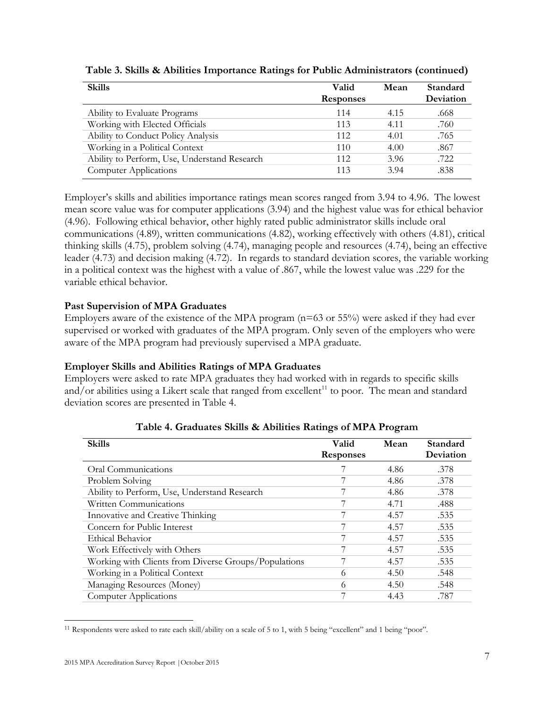| <b>Skills</b>                                | Valid<br><b>Responses</b> | Mean | Standard<br>Deviation |
|----------------------------------------------|---------------------------|------|-----------------------|
| Ability to Evaluate Programs                 | 114                       | 4.15 | .668                  |
| Working with Elected Officials               | 113                       | 4.11 | .760                  |
| Ability to Conduct Policy Analysis           | 112                       | 4.01 | .765                  |
| Working in a Political Context               | 110                       | 4.00 | .867                  |
| Ability to Perform, Use, Understand Research | 112                       | 3.96 | .722                  |
| <b>Computer Applications</b>                 | 113                       | 3.94 | .838                  |

**Table 3. Skills & Abilities Importance Ratings for Public Administrators (continued)**

Employer's skills and abilities importance ratings mean scores ranged from 3.94 to 4.96. The lowest mean score value was for computer applications (3.94) and the highest value was for ethical behavior (4.96). Following ethical behavior, other highly rated public administrator skills include oral communications (4.89), written communications (4.82), working effectively with others (4.81), critical thinking skills (4.75), problem solving (4.74), managing people and resources (4.74), being an effective leader (4.73) and decision making (4.72). In regards to standard deviation scores, the variable working in a political context was the highest with a value of .867, while the lowest value was .229 for the variable ethical behavior.

## **Past Supervision of MPA Graduates**

Employers aware of the existence of the MPA program (n=63 or 55%) were asked if they had ever supervised or worked with graduates of the MPA program. Only seven of the employers who were aware of the MPA program had previously supervised a MPA graduate.

## **Employer Skills and Abilities Ratings of MPA Graduates**

Employers were asked to rate MPA graduates they had worked with in regards to specific skills and/or abilities using a Likert scale that ranged from excellent<sup>11</sup> to poor. The mean and standard deviation scores are presented in Table 4.

| <b>Skills</b>                                        | Valid<br><b>Responses</b> | Mean | Standard<br>Deviation |
|------------------------------------------------------|---------------------------|------|-----------------------|
| Oral Communications                                  |                           | 4.86 | .378                  |
| Problem Solving                                      |                           | 4.86 | .378                  |
| Ability to Perform, Use, Understand Research         |                           | 4.86 | .378                  |
| Written Communications                               | 7                         | 4.71 | .488                  |
| Innovative and Creative Thinking                     |                           | 4.57 | .535                  |
| Concern for Public Interest                          |                           | 4.57 | .535                  |
| Ethical Behavior                                     | 7                         | 4.57 | .535                  |
| Work Effectively with Others                         |                           | 4.57 | .535                  |
| Working with Clients from Diverse Groups/Populations |                           | 4.57 | .535                  |
| Working in a Political Context                       | 6                         | 4.50 | .548                  |
| Managing Resources (Money)                           | 6                         | 4.50 | .548                  |
| <b>Computer Applications</b>                         | 7                         | 4.43 | .787                  |

**Table 4. Graduates Skills & Abilities Ratings of MPA Program**

<sup>11</sup> Respondents were asked to rate each skill/ability on a scale of 5 to 1, with 5 being "excellent" and 1 being "poor".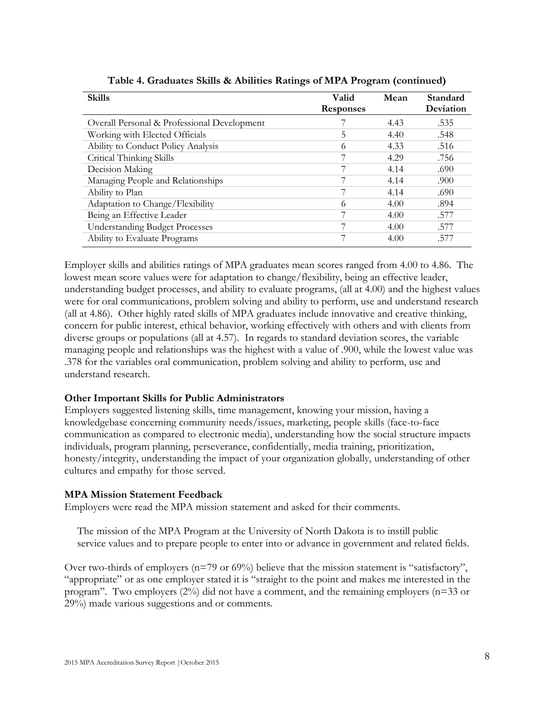| <b>Skills</b>                               | Valid<br><b>Responses</b> | Mean | Standard<br>Deviation |
|---------------------------------------------|---------------------------|------|-----------------------|
| Overall Personal & Professional Development |                           | 4.43 | .535                  |
| Working with Elected Officials              | 5                         | 4.40 | .548                  |
| Ability to Conduct Policy Analysis          | 6                         | 4.33 | .516                  |
| Critical Thinking Skills                    | 7                         | 4.29 | .756                  |
| Decision Making                             |                           | 4.14 | .690                  |
| Managing People and Relationships           |                           | 4.14 | .900                  |
| Ability to Plan                             | 7                         | 4.14 | .690                  |
| Adaptation to Change/Flexibility            | 6                         | 4.00 | .894                  |
| Being an Effective Leader                   |                           | 4.00 | .577                  |
| <b>Understanding Budget Processes</b>       | ¬                         | 4.00 | .577                  |
| Ability to Evaluate Programs                | 7                         | 4.00 | .577                  |

**Table 4. Graduates Skills & Abilities Ratings of MPA Program (continued)**

Employer skills and abilities ratings of MPA graduates mean scores ranged from 4.00 to 4.86. The lowest mean score values were for adaptation to change/flexibility, being an effective leader, understanding budget processes, and ability to evaluate programs, (all at 4.00) and the highest values were for oral communications, problem solving and ability to perform, use and understand research (all at 4.86). Other highly rated skills of MPA graduates include innovative and creative thinking, concern for public interest, ethical behavior, working effectively with others and with clients from diverse groups or populations (all at 4.57). In regards to standard deviation scores, the variable managing people and relationships was the highest with a value of .900, while the lowest value was .378 for the variables oral communication, problem solving and ability to perform, use and understand research.

## **Other Important Skills for Public Administrators**

Employers suggested listening skills, time management, knowing your mission, having a knowledgebase concerning community needs/issues, marketing, people skills (face-to-face communication as compared to electronic media), understanding how the social structure impacts individuals, program planning, perseverance, confidentially, media training, prioritization, honesty/integrity, understanding the impact of your organization globally, understanding of other cultures and empathy for those served.

## **MPA Mission Statement Feedback**

Employers were read the MPA mission statement and asked for their comments.

The mission of the MPA Program at the University of North Dakota is to instill public service values and to prepare people to enter into or advance in government and related fields.

Over two-thirds of employers (n=79 or 69%) believe that the mission statement is "satisfactory", "appropriate" or as one employer stated it is "straight to the point and makes me interested in the program". Two employers  $(2\%)$  did not have a comment, and the remaining employers (n=33 or 29%) made various suggestions and or comments.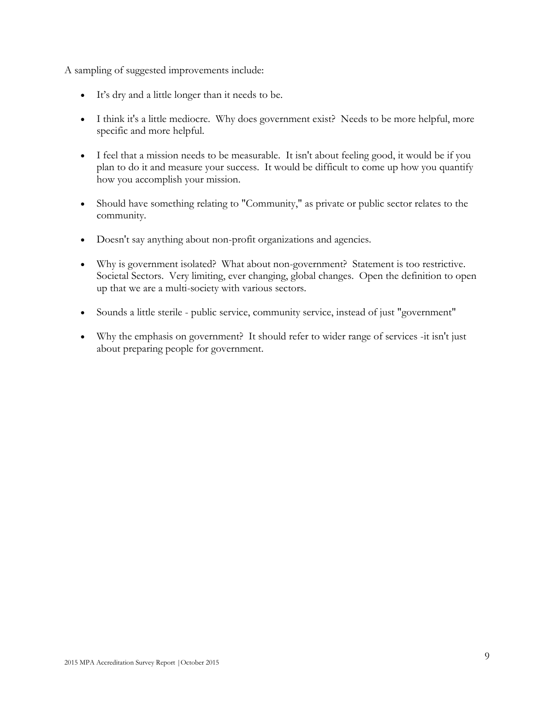A sampling of suggested improvements include:

- It's dry and a little longer than it needs to be.
- I think it's a little mediocre. Why does government exist? Needs to be more helpful, more specific and more helpful.
- I feel that a mission needs to be measurable. It isn't about feeling good, it would be if you plan to do it and measure your success. It would be difficult to come up how you quantify how you accomplish your mission.
- Should have something relating to "Community," as private or public sector relates to the community.
- Doesn't say anything about non-profit organizations and agencies.
- Why is government isolated? What about non-government? Statement is too restrictive. Societal Sectors. Very limiting, ever changing, global changes. Open the definition to open up that we are a multi-society with various sectors.
- Sounds a little sterile public service, community service, instead of just "government"
- Why the emphasis on government? It should refer to wider range of services -it isn't just about preparing people for government.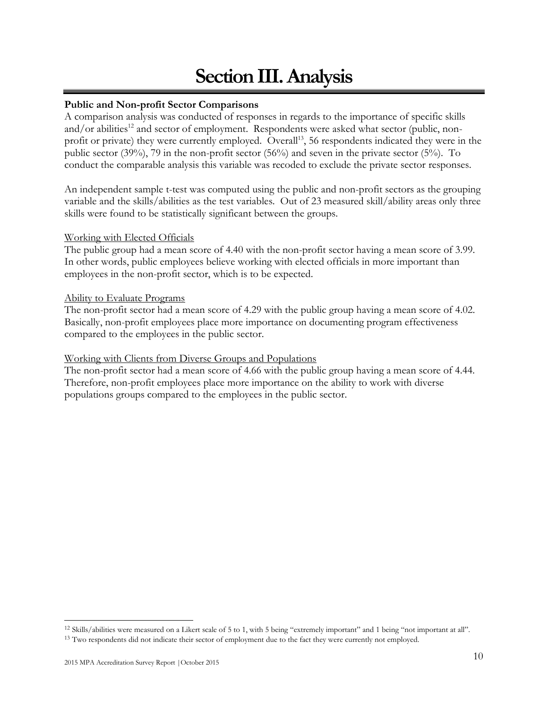## **Section III. Analysis**

## **Public and Non-profit Sector Comparisons**

A comparison analysis was conducted of responses in regards to the importance of specific skills and/or abilities<sup>12</sup> and sector of employment. Respondents were asked what sector (public, nonprofit or private) they were currently employed. Overall<sup>13</sup>, 56 respondents indicated they were in the public sector (39%), 79 in the non-profit sector (56%) and seven in the private sector (5%). To conduct the comparable analysis this variable was recoded to exclude the private sector responses.

An independent sample t-test was computed using the public and non-profit sectors as the grouping variable and the skills/abilities as the test variables. Out of 23 measured skill/ability areas only three skills were found to be statistically significant between the groups.

## Working with Elected Officials

The public group had a mean score of 4.40 with the non-profit sector having a mean score of 3.99. In other words, public employees believe working with elected officials in more important than employees in the non-profit sector, which is to be expected.

## Ability to Evaluate Programs

The non-profit sector had a mean score of 4.29 with the public group having a mean score of 4.02. Basically, non-profit employees place more importance on documenting program effectiveness compared to the employees in the public sector.

## Working with Clients from Diverse Groups and Populations

The non-profit sector had a mean score of 4.66 with the public group having a mean score of 4.44. Therefore, non-profit employees place more importance on the ability to work with diverse populations groups compared to the employees in the public sector.

<sup>12</sup> Skills/abilities were measured on a Likert scale of 5 to 1, with 5 being "extremely important" and 1 being "not important at all".

<sup>&</sup>lt;sup>13</sup> Two respondents did not indicate their sector of employment due to the fact they were currently not employed.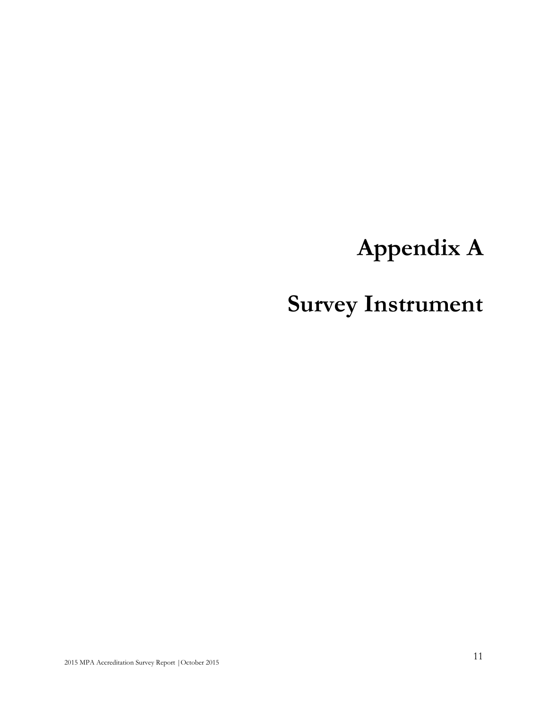# **Appendix A**

# **Survey Instrument**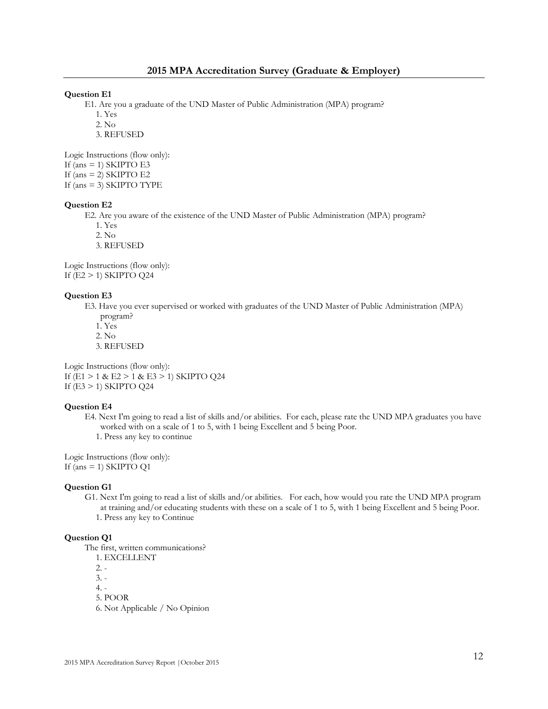#### **Question E1**

E1. Are you a graduate of the UND Master of Public Administration (MPA) program?

1. Yes

2. No

3. REFUSED

Logic Instructions (flow only): If (ans  $=$  1) SKIPTO E3 If (ans  $= 2$ ) SKIPTO E2 If (ans = 3) SKIPTO TYPE

#### **Question E2**

E2. Are you aware of the existence of the UND Master of Public Administration (MPA) program?

- 1. Yes
- 2. No
- 3. REFUSED

Logic Instructions (flow only): If (E2 > 1) SKIPTO Q24

#### **Question E3**

- E3. Have you ever supervised or worked with graduates of the UND Master of Public Administration (MPA) program?
	- 1. Yes
	- 2. No
	- 3. REFUSED

Logic Instructions (flow only): If (E1 > 1 & E2 > 1 & E3 > 1) SKIPTO Q24 If (E3 > 1) SKIPTO Q24

#### **Question E4**

- E4. Next I'm going to read a list of skills and/or abilities. For each, please rate the UND MPA graduates you have worked with on a scale of 1 to 5, with 1 being Excellent and 5 being Poor.
	- 1. Press any key to continue

Logic Instructions (flow only): If (ans = 1) SKIPTO Q1

#### **Question G1**

- G1. Next I'm going to read a list of skills and/or abilities. For each, how would you rate the UND MPA program at training and/or educating students with these on a scale of 1 to 5, with 1 being Excellent and 5 being Poor.
	- 1. Press any key to Continue

#### **Question Q1**

The first, written communications?

- 1. EXCELLENT
- 2. -

3. -

4. -

5. POOR

6. Not Applicable / No Opinion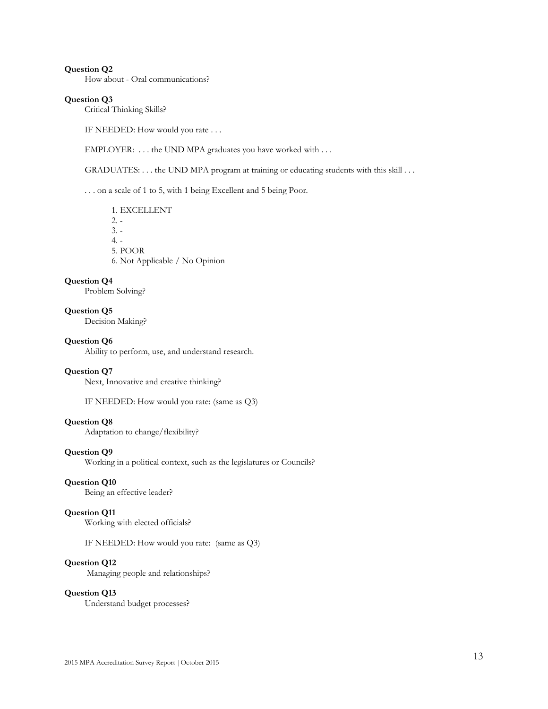How about - Oral communications?

#### **Question Q3**

Critical Thinking Skills?

IF NEEDED: How would you rate . . .

EMPLOYER: ... the UND MPA graduates you have worked with ...

GRADUATES: . . . the UND MPA program at training or educating students with this skill . . .

. . . on a scale of 1 to 5, with 1 being Excellent and 5 being Poor.

 1. EXCELLENT  $2. -$  3. - 4. - 5. POOR 6. Not Applicable / No Opinion

#### **Question Q4**

Problem Solving?

#### **Question Q5**

Decision Making?

#### **Question Q6**

Ability to perform, use, and understand research.

#### **Question Q7**

Next, Innovative and creative thinking?

IF NEEDED: How would you rate: (same as Q3)

#### **Question Q8**

Adaptation to change/flexibility?

#### **Question Q9**

Working in a political context, such as the legislatures or Councils?

### **Question Q10**

Being an effective leader?

#### **Question Q11**

Working with elected officials?

IF NEEDED: How would you rate: (same as Q3)

#### **Question Q12**

Managing people and relationships?

#### **Question Q13**

Understand budget processes?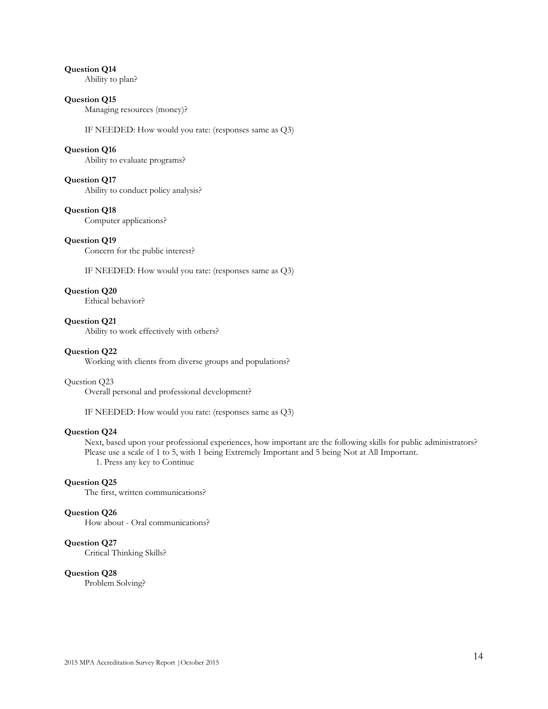Ability to plan?

#### **Question Q15**

Managing resources (money)?

IF NEEDED: How would you rate: (responses same as Q3)

#### **Question Q16**

Ability to evaluate programs?

#### **Question Q17**

Ability to conduct policy analysis?

#### **Question Q18**

Computer applications?

#### **Question Q19**

Concern for the public interest?

IF NEEDED: How would you rate: (responses same as Q3)

### **Question Q20**

Ethical behavior?

#### **Question Q21**

Ability to work effectively with others?

#### **Question Q22**

Working with clients from diverse groups and populations?

#### Question Q23

Overall personal and professional development?

IF NEEDED: How would you rate: (responses same as Q3)

#### **Question Q24**

 Next, based upon your professional experiences, how important are the following skills for public administrators? Please use a scale of 1 to 5, with 1 being Extremely Important and 5 being Not at All Important. 1. Press any key to Continue

#### **Question Q25**

The first, written communications?

#### **Question Q26**

How about - Oral communications?

#### **Question Q27**

Critical Thinking Skills?

#### **Question Q28**

Problem Solving?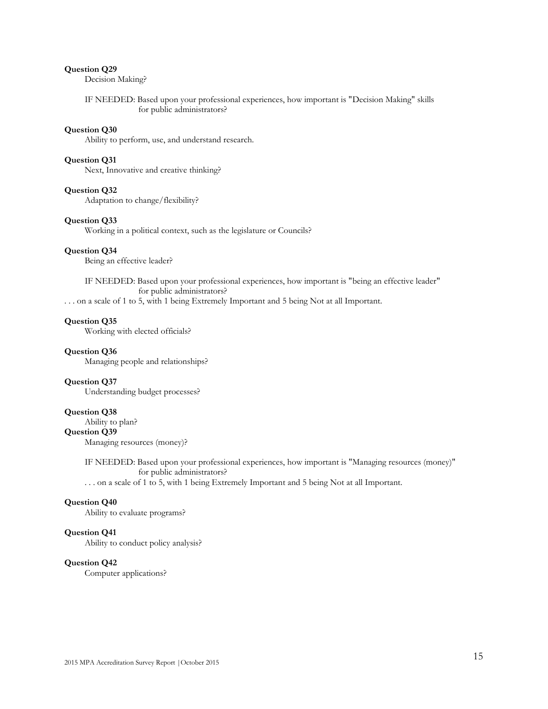Decision Making?

 IF NEEDED: Based upon your professional experiences, how important is "Decision Making" skills for public administrators?

#### **Question Q30**

Ability to perform, use, and understand research.

#### **Question Q31**

Next, Innovative and creative thinking?

#### **Question Q32**

Adaptation to change/flexibility?

#### **Question Q33**

Working in a political context, such as the legislature or Councils?

#### **Question Q34**

Being an effective leader?

 IF NEEDED: Based upon your professional experiences, how important is "being an effective leader" for public administrators?

. . . on a scale of 1 to 5, with 1 being Extremely Important and 5 being Not at all Important.

#### **Question Q35**

Working with elected officials?

#### **Question Q36**

Managing people and relationships?

#### **Question Q37**

Understanding budget processes?

#### **Question Q38**

Ability to plan?

#### **Question Q39**

Managing resources (money)?

 IF NEEDED: Based upon your professional experiences, how important is "Managing resources (money)" for public administrators?

. . . on a scale of 1 to 5, with 1 being Extremely Important and 5 being Not at all Important.

#### **Question Q40**

Ability to evaluate programs?

#### **Question Q41**

Ability to conduct policy analysis?

#### **Question Q42**

Computer applications?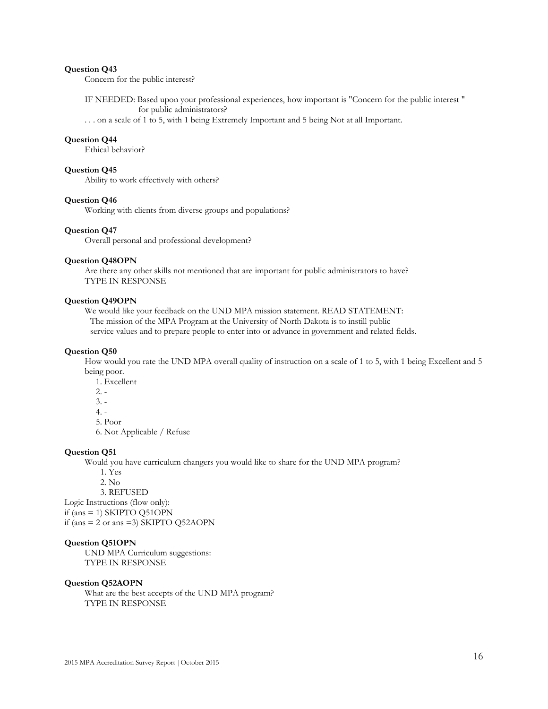Concern for the public interest?

 IF NEEDED: Based upon your professional experiences, how important is "Concern for the public interest " for public administrators?

. . . on a scale of 1 to 5, with 1 being Extremely Important and 5 being Not at all Important.

#### **Question Q44**

Ethical behavior?

#### **Question Q45**

Ability to work effectively with others?

#### **Question Q46**

Working with clients from diverse groups and populations?

#### **Question Q47**

Overall personal and professional development?

#### **Question Q48OPN**

 Are there any other skills not mentioned that are important for public administrators to have? TYPE IN RESPONSE

#### **Question Q49OPN**

 We would like your feedback on the UND MPA mission statement. READ STATEMENT: The mission of the MPA Program at the University of North Dakota is to instill public service values and to prepare people to enter into or advance in government and related fields.

#### **Question Q50**

 How would you rate the UND MPA overall quality of instruction on a scale of 1 to 5, with 1 being Excellent and 5 being poor.

1. Excellent

- $2.$
- $3. -$

4. -

5. Poor

6. Not Applicable / Refuse

#### **Question Q51**

Would you have curriculum changers you would like to share for the UND MPA program?

1. Yes

2. No

3. REFUSED

Logic Instructions (flow only):

if (ans  $= 1$ ) SKIPTO Q51OPN

if (ans  $= 2$  or ans  $= 3$ ) SKIPTO Q52AOPN

#### **Question Q51OPN**

 UND MPA Curriculum suggestions: TYPE IN RESPONSE

#### **Question Q52AOPN**

 What are the best accepts of the UND MPA program? TYPE IN RESPONSE